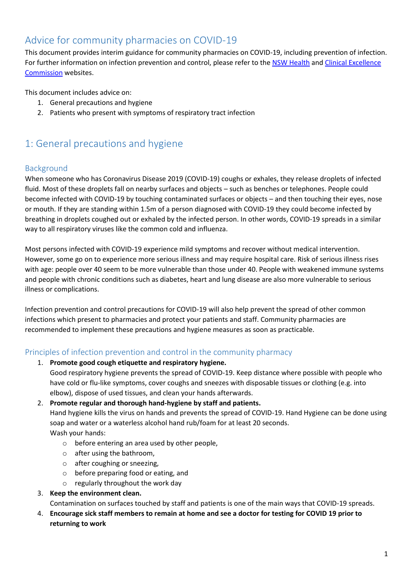# Advice for community pharmacies on COVID-19

This document provides interim guidance for community pharmacies on COVID-19, including prevention of infection. For further information on infection prevention and control, please refer to the [NSW Health](https://www.health.nsw.gov.au/Infectious/diseases/Pages/coronavirus-professionals.aspx) and Clinical Excellence [Commission](http://cec.health.nsw.gov.au/keep-patients-safe/infection-prevention-and-control/Coronavirus-COVID-19) websites.

This document includes advice on:

- 1. General precautions and hygiene
- 2. Patients who present with symptoms of respiratory tract infection

# 1: General precautions and hygiene

## Background

When someone who has Coronavirus Disease 2019 (COVID-19) coughs or exhales, they release droplets of infected fluid. Most of these droplets fall on nearby surfaces and objects – such as benches or telephones. People could become infected with COVID-19 by touching contaminated surfaces or objects – and then touching their eyes, nose or mouth. If they are standing within 1.5m of a person diagnosed with COVID-19 they could become infected by breathing in droplets coughed out or exhaled by the infected person. In other words, COVID-19 spreads in a similar way to all respiratory viruses like the common cold and influenza.

Most persons infected with COVID-19 experience mild symptoms and recover without medical intervention. However, some go on to experience more serious illness and may require hospital care. Risk of serious illness rises with age: people over 40 seem to be more vulnerable than those under 40. People with weakened immune systems and people with chronic conditions such as diabetes, heart and lung disease are also more vulnerable to serious illness or complications.

Infection prevention and control precautions for COVID-19 will also help prevent the spread of other common infections which present to pharmacies and protect your patients and staff. Community pharmacies are recommended to implement these precautions and hygiene measures as soon as practicable.

## Principles of infection prevention and control in the community pharmacy

1. **Promote good cough etiquette and respiratory hygiene.**

Good respiratory hygiene prevents the spread of COVID-19. Keep distance where possible with people who have cold or flu-like symptoms, cover coughs and sneezes with disposable tissues or clothing (e.g. into elbow), dispose of used tissues, and clean your hands afterwards.

2. **Promote regular and thorough hand-hygiene by staff and patients.**

Hand hygiene kills the virus on hands and prevents the spread of COVID-19. Hand Hygiene can be done using soap and water or a waterless alcohol hand rub/foam for at least 20 seconds. Wash your hands:

- o before entering an area used by other people,
- o after using the bathroom,
- o after coughing or sneezing,
- o before preparing food or eating, and
- o regularly throughout the work day

#### 3. **Keep the environment clean.**

Contamination on surfaces touched by staff and patients is one of the main ways that COVID-19 spreads.

4. **Encourage sick staff members to remain at home and see a doctor for testing for COVID 19 prior to returning to work**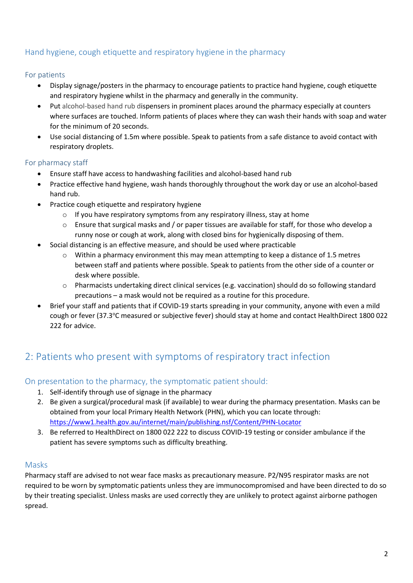## Hand hygiene, cough etiquette and respiratory hygiene in the pharmacy

### For patients

- Display signage/posters in the pharmacy to encourage patients to practice hand hygiene, cough etiquette and respiratory hygiene whilst in the pharmacy and generally in the community.
- Put alcohol-based hand rub dispensers in prominent places around the pharmacy especially at counters where surfaces are touched. Inform patients of places where they can wash their hands with soap and water for the minimum of 20 seconds.
- Use social distancing of 1.5m where possible. Speak to patients from a safe distance to avoid contact with respiratory droplets.

### For pharmacy staff

- Ensure staff have access to handwashing facilities and alcohol-based hand rub
- Practice effective hand hygiene, wash hands thoroughly throughout the work day or use an alcohol-based hand rub.
- Practice cough etiquette and respiratory hygiene
	- $\circ$  If you have respiratory symptoms from any respiratory illness, stay at home
	- $\circ$  Ensure that surgical masks and / or paper tissues are available for staff, for those who develop a runny nose or cough at work, along with closed bins for hygienically disposing of them.
- Social distancing is an effective measure, and should be used where practicable
	- $\circ$  Within a pharmacy environment this may mean attempting to keep a distance of 1.5 metres between staff and patients where possible. Speak to patients from the other side of a counter or desk where possible.
	- o Pharmacists undertaking direct clinical services (e.g. vaccination) should do so following standard precautions – a mask would not be required as a routine for this procedure.
- Brief your staff and patients that if COVID-19 starts spreading in your community, anyone with even a mild cough or fever (37.3°C measured or subjective fever) should stay at home and contact HealthDirect 1800 022 222 for advice.

# 2: Patients who present with symptoms of respiratory tract infection

### On presentation to the pharmacy, the symptomatic patient should:

- 1. Self-identify through use of signage in the pharmacy
- 2. Be given a surgical/procedural mask (if available) to wear during the pharmacy presentation. Masks can be obtained from your local Primary Health Network (PHN), which you can locate through: <https://www1.health.gov.au/internet/main/publishing.nsf/Content/PHN-Locator>
- 3. Be referred to HealthDirect on 1800 022 222 to discuss COVID-19 testing or consider ambulance if the patient has severe symptoms such as difficulty breathing.

#### Masks

Pharmacy staff are advised to not wear face masks as precautionary measure. P2/N95 respirator masks are not required to be worn by symptomatic patients unless they are immunocompromised and have been directed to do so by their treating specialist. Unless masks are used correctly they are unlikely to protect against airborne pathogen spread.